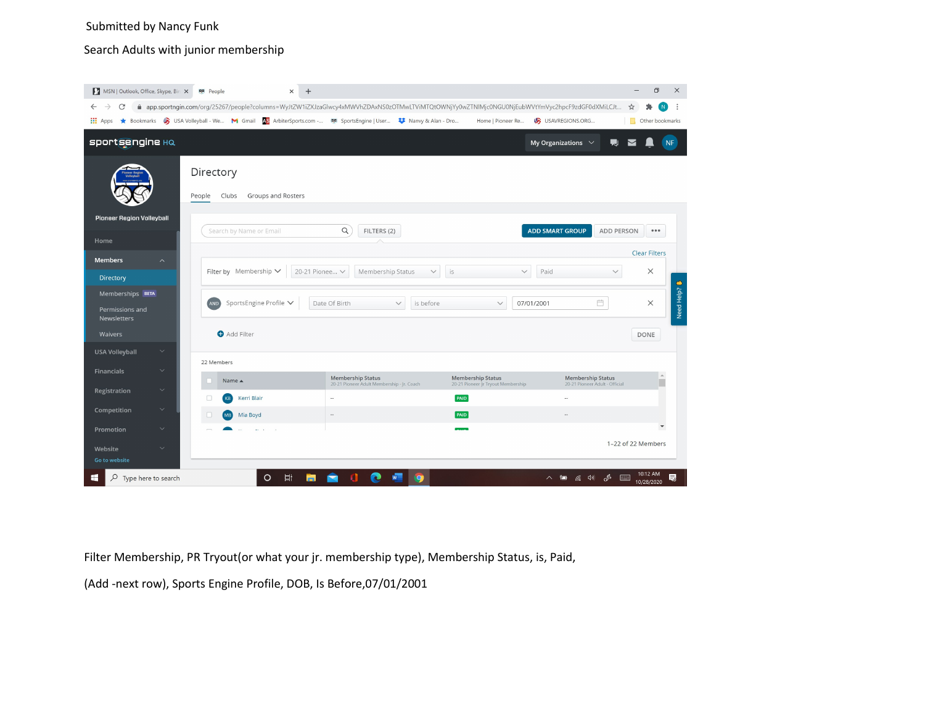# Submitted by Nancy Funk

# Search Adults with junior membership

| MSN   Outlook, Office, Skype, Bin X                                                                                                                                                           | se People<br>$\times$                                                                                       |                                                                        |                                            |                                             | Θ<br>$\times$            |
|-----------------------------------------------------------------------------------------------------------------------------------------------------------------------------------------------|-------------------------------------------------------------------------------------------------------------|------------------------------------------------------------------------|--------------------------------------------|---------------------------------------------|--------------------------|
| ● app.sportngin.com/org/25267/people?columns=WyJtZW1iZXJzaGlwcy4xMWVhZDAxNS0zOTMwLTViMTQtOWNjYy0wZTNIMjc0NGU0NjEubWVtYmVyc2hpcF9zdGF0dXMiLCJt<br>C<br>$\rightarrow$<br>☆<br>$\leftarrow$<br>N |                                                                                                             |                                                                        |                                            |                                             |                          |
| <b>H</b> : Apps                                                                                                                                                                               | ★ Bookmarks → USA Volleyball - We M Gmail AS ArbiterSports.com - B SportsEngine   User * Nanvy & Alan - Dro |                                                                        | Home   Pioneer Re                          | USAVREGIONS.ORG                             | Other bookmarks          |
| <b>sportsengine HQ</b>                                                                                                                                                                        |                                                                                                             |                                                                        |                                            | My Organizations $\vee$<br>则                |                          |
|                                                                                                                                                                                               | Directory<br>Groups and Rosters<br>Clubs<br>People                                                          |                                                                        |                                            |                                             |                          |
| <b>Pioneer Region Volleyball</b><br>Home                                                                                                                                                      | Search by Name or Email                                                                                     | $\alpha$<br>FILTERS (2)                                                |                                            | <b>ADD SMART GROUP</b><br><b>ADD PERSON</b> | 0.0.0                    |
| <b>Members</b><br>$\boldsymbol{\wedge}$                                                                                                                                                       |                                                                                                             |                                                                        |                                            |                                             | <b>Clear Filters</b>     |
| Directory                                                                                                                                                                                     | Filter by Membership $\vee$                                                                                 | 20-21 Pionee V<br>Membership Status                                    | is<br>$\checkmark$<br>$\checkmark$         | Paid<br>$\checkmark$                        | $\times$                 |
| Memberships BETA<br>Permissions and<br><b>Newsletters</b>                                                                                                                                     | Ö<br>SportsEngine Profile V<br>AND<br>Date Of Birth<br>$\vee$<br>is before<br>$\vee$<br>07/01/2001          |                                                                        |                                            |                                             | Need Help?<br>$\times$   |
| <b>Waivers</b>                                                                                                                                                                                | Add Filter                                                                                                  |                                                                        |                                            |                                             | DONE                     |
| <b>USA Volleyball</b><br>$\checkmark$                                                                                                                                                         |                                                                                                             |                                                                        |                                            |                                             |                          |
| $\checkmark$<br><b>Financials</b>                                                                                                                                                             | 22 Members<br>Name A                                                                                        | <b>Membership Status</b>                                               | <b>Membership Status</b>                   | <b>Membership Status</b>                    | $\overline{\phantom{a}}$ |
| $\checkmark$<br>Registration                                                                                                                                                                  | П<br>Kerri Blair<br>KB                                                                                      | 20-21 Pioneer Adult Membership - Jr. Coach<br>$\overline{\phantom{a}}$ | 20-21 Pioneer Jr Tryout Membership<br>PAID | 20-21 Pioneer Adult - Official<br>÷.        |                          |
| Competition<br>$\checkmark$                                                                                                                                                                   | Mia Boyd                                                                                                    | $\sim$                                                                 | PAID                                       |                                             |                          |
| $\checkmark$<br>Promotion                                                                                                                                                                     |                                                                                                             |                                                                        |                                            |                                             | $\blacktriangledown$     |
| $\checkmark$<br>Website<br>Go to website                                                                                                                                                      |                                                                                                             |                                                                        |                                            |                                             | 1-22 of 22 Members       |
| Q<br>Type here to search<br>⊢                                                                                                                                                                 | 耳<br>O                                                                                                      |                                                                        |                                            | A<br>后 (1)<br>E<br>°⊟                       | 見<br>10/28/2020          |

Filter Membership, PR Tryout(or what your jr. membership type), Membership Status, is, Paid,

(Add -next row), Sports Engine Profile, DOB, Is Before,07/01/2001